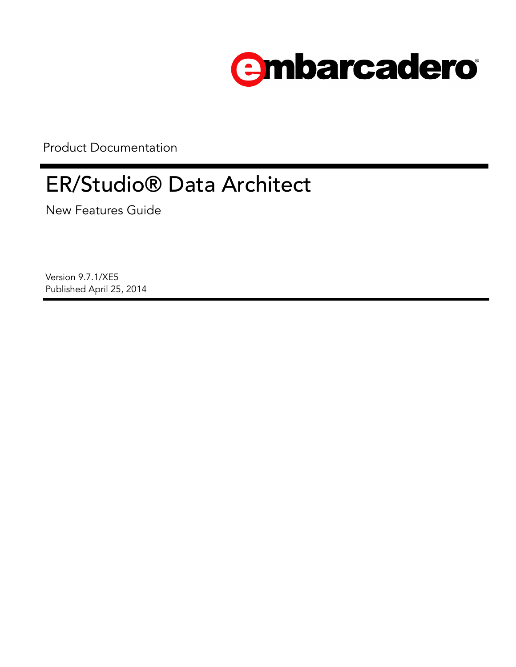

Product Documentation

# ER/Studio® Data Architect

New Features Guide

Version 9.7.1/XE5 Published April 25, 2014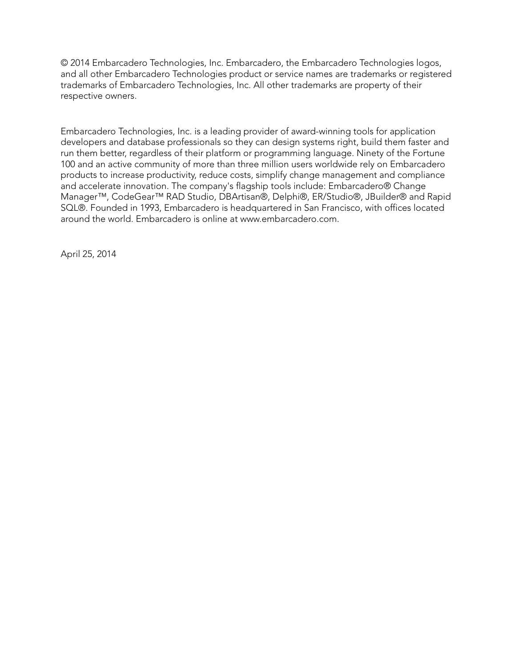© 2014 Embarcadero Technologies, Inc. Embarcadero, the Embarcadero Technologies logos, and all other Embarcadero Technologies product or service names are trademarks or registered trademarks of Embarcadero Technologies, Inc. All other trademarks are property of their respective owners.

Embarcadero Technologies, Inc. is a leading provider of award-winning tools for application developers and database professionals so they can design systems right, build them faster and run them better, regardless of their platform or programming language. Ninety of the Fortune 100 and an active community of more than three million users worldwide rely on Embarcadero products to increase productivity, reduce costs, simplify change management and compliance and accelerate innovation. The company's flagship tools include: Embarcadero® Change Manager™, CodeGear™ RAD Studio, DBArtisan®, Delphi®, ER/Studio®, JBuilder® and Rapid SQL®. Founded in 1993, Embarcadero is headquartered in San Francisco, with offices located around the world. Embarcadero is online at www.embarcadero.com.

April 25, 2014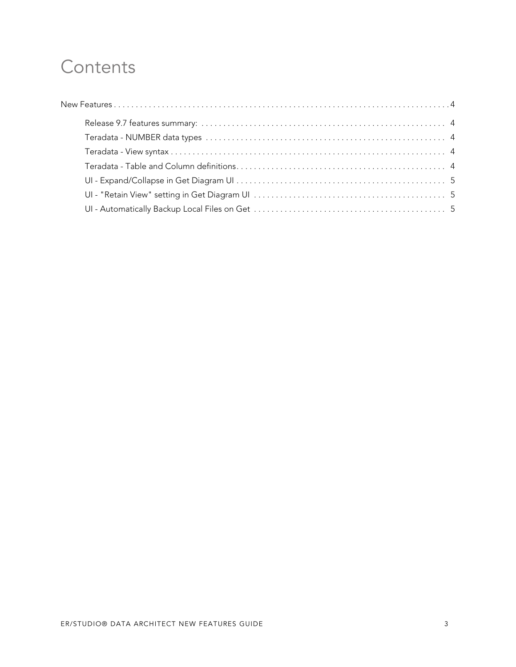# **Contents**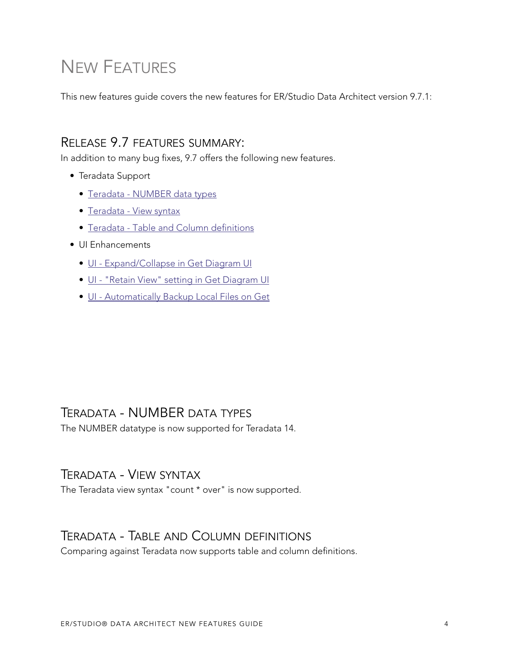# <span id="page-3-0"></span>NEW FEATURES

This new features guide covers the new features for ER/Studio Data Architect version 9.7.1:

#### <span id="page-3-1"></span>RELEASE 9.7 FEATURES SUMMARY:

In addition to many bug fixes, 9.7 offers the following new features.

- Teradata Support
	- [Teradata NUMBER data types](#page-3-2)
	- [Teradata View syntax](#page-3-3)
	- [Teradata Table and Column definitions](#page-3-4)
- UI Enhancements
	- [UI Expand/Collapse in Get Diagram UI](#page-4-0)
	- [UI "Retain View" setting in Get Diagram UI](#page-4-1)
	- [UI Automatically Backup Local Files on Get](#page-4-2)

#### <span id="page-3-2"></span>TERADATA - NUMBER DATA TYPES

The NUMBER datatype is now supported for Teradata 14.

#### <span id="page-3-3"></span>TERADATA - VIEW SYNTAX

The Teradata view syntax "count \* over" is now supported.

#### <span id="page-3-4"></span>TERADATA - TABLE AND COLUMN DEFINITIONS

Comparing against Teradata now supports table and column definitions.